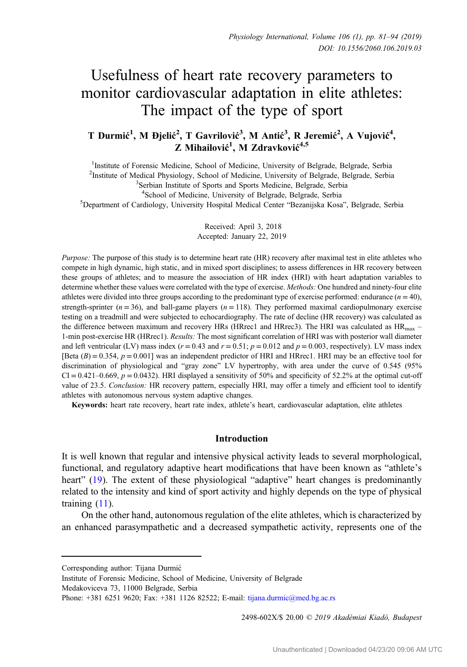# Usefulness of heart rate recovery parameters to monitor cardiovascular adaptation in elite athletes: The impact of the type of sport

# T Durmić<sup>1</sup>, M Đjelić<sup>2</sup>, T Gavrilović<sup>3</sup>, M Antić<sup>3</sup>, R Jeremić<sup>2</sup>, A Vujović<sup>4</sup>, Z Mihailović<sup>1</sup>, M Zdravković<sup>4,5</sup>

<sup>1</sup>Institute of Forensic Medicine, School of Medicine, University of Belgrade, Belgrade, Serbia <sup>2</sup>Institute of Medical Physiology, School of Medicine, University of Belgrade, Belgrade, Serbia<sup>3</sup>Serbia belongerade Serbia

Serbian Institute of Sports and Sports Medicine, Belgrade, Serbia

<sup>4</sup>School of Medicine, University of Belgrade, Belgrade, Serbia<sup>5</sup>Department of Cardiology, University Hospital Medical Center "Bezanijska Kosa

<sup>5</sup>Department of Cardiology, University Hospital Medical Center "Bezanijska Kosa", Belgrade, Serbia

Received: April 3, 2018 Accepted: January 22, 2019

Purpose: The purpose of this study is to determine heart rate (HR) recovery after maximal test in elite athletes who compete in high dynamic, high static, and in mixed sport disciplines; to assess differences in HR recovery between these groups of athletes; and to measure the association of HR index (HRI) with heart adaptation variables to determine whether these values were correlated with the type of exercise. Methods: One hundred and ninety-four elite athletes were divided into three groups according to the predominant type of exercise performed: endurance  $(n = 40)$ , strength-sprinter ( $n = 36$ ), and ball-game players ( $n = 118$ ). They performed maximal cardiopulmonary exercise testing on a treadmill and were subjected to echocardiography. The rate of decline (HR recovery) was calculated as the difference between maximum and recovery HRs (HRrec1 and HRrec3). The HRI was calculated as  $HR_{\text{max}}$  – 1-min post-exercise HR (HRrec1). Results: The most significant correlation of HRI was with posterior wall diameter and left ventricular (LV) mass index ( $r = 0.43$  and  $r = 0.51$ ;  $p = 0.012$  and  $p = 0.003$ , respectively). LV mass index [Beta  $(B) = 0.354$ ,  $p = 0.001$ ] was an independent predictor of HRI and HRrec1. HRI may be an effective tool for discrimination of physiological and "gray zone" LV hypertrophy, with area under the curve of 0.545 (95%  $CI = 0.421 - 0.669$ ,  $p = 0.0432$ ). HRI displayed a sensitivity of 50% and specificity of 52.2% at the optimal cut-off value of 23.5. Conclusion: HR recovery pattern, especially HRI, may offer a timely and efficient tool to identify athletes with autonomous nervous system adaptive changes.

Keywords: heart rate recovery, heart rate index, athlete's heart, cardiovascular adaptation, elite athletes

### Introduction

It is well known that regular and intensive physical activity leads to several morphological, functional, and regulatory adaptive heart modifications that have been known as "athlete's heart" [\(19](#page-13-0)). The extent of these physiological "adaptive" heart changes is predominantly related to the intensity and kind of sport activity and highly depends on the type of physical training  $(11)$  $(11)$  $(11)$ .

On the other hand, autonomous regulation of the elite athletes, which is characterized by an enhanced parasympathetic and a decreased sympathetic activity, represents one of the

Medakoviceva 73, 11000 Belgrade, Serbia

2498-602X/\$ 20.00 © 2019 Akadémiai Kiadó, Budapest

Corresponding author: Tijana Durmić

Institute of Forensic Medicine, School of Medicine, University of Belgrade

Phone: +381 6251 9620; Fax: +381 1126 82522; E-mail: [tijana.durmic@med.bg.ac.rs](mailto:tijana.durmic@med.bg.ac.rs)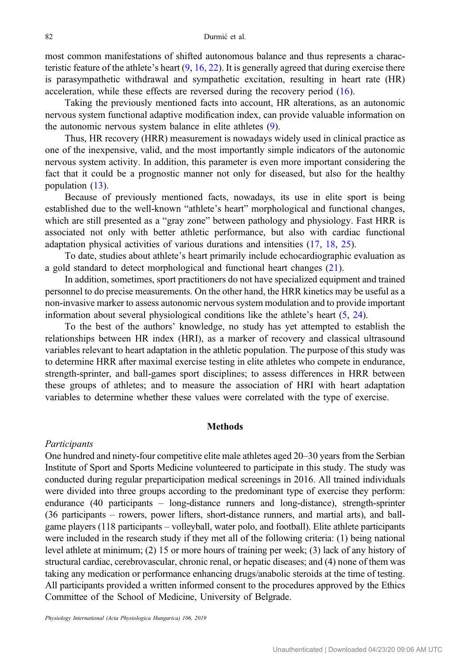most common manifestations of shifted autonomous balance and thus represents a characteristic feature of the athlete's heart  $(9, 16, 22)$  $(9, 16, 22)$  $(9, 16, 22)$  $(9, 16, 22)$  $(9, 16, 22)$  $(9, 16, 22)$ . It is generally agreed that during exercise there is parasympathetic withdrawal and sympathetic excitation, resulting in heart rate (HR) acceleration, while these effects are reversed during the recovery period [\(16](#page-13-0)).

Taking the previously mentioned facts into account, HR alterations, as an autonomic nervous system functional adaptive modification index, can provide valuable information on the autonomic nervous system balance in elite athletes [\(9](#page-13-0)).

Thus, HR recovery (HRR) measurement is nowadays widely used in clinical practice as one of the inexpensive, valid, and the most importantly simple indicators of the autonomic nervous system activity. In addition, this parameter is even more important considering the fact that it could be a prognostic manner not only for diseased, but also for the healthy population [\(13](#page-13-0)).

Because of previously mentioned facts, nowadays, its use in elite sport is being established due to the well-known "athlete's heart" morphological and functional changes, which are still presented as a "gray zone" between pathology and physiology. Fast HRR is associated not only with better athletic performance, but also with cardiac functional adaptation physical activities of various durations and intensities ([17,](#page-13-0) [18,](#page-13-0) [25\)](#page-13-0).

To date, studies about athlete's heart primarily include echocardiographic evaluation as a gold standard to detect morphological and functional heart changes [\(21](#page-13-0)).

In addition, sometimes, sport practitioners do not have specialized equipment and trained personnel to do precise measurements. On the other hand, the HRR kinetics may be useful as a non-invasive marker to assess autonomic nervous system modulation and to provide important information about several physiological conditions like the athlete's heart ([5,](#page-13-0) [24\)](#page-13-0).

To the best of the authors' knowledge, no study has yet attempted to establish the relationships between HR index (HRI), as a marker of recovery and classical ultrasound variables relevant to heart adaptation in the athletic population. The purpose of this study was to determine HRR after maximal exercise testing in elite athletes who compete in endurance, strength-sprinter, and ball-games sport disciplines; to assess differences in HRR between these groups of athletes; and to measure the association of HRI with heart adaptation variables to determine whether these values were correlated with the type of exercise.

### **Methods**

### Participants

One hundred and ninety-four competitive elite male athletes aged 20–30 years from the Serbian Institute of Sport and Sports Medicine volunteered to participate in this study. The study was conducted during regular preparticipation medical screenings in 2016. All trained individuals were divided into three groups according to the predominant type of exercise they perform: endurance (40 participants – long-distance runners and long-distance), strength-sprinter (36 participants – rowers, power lifters, short-distance runners, and martial arts), and ballgame players (118 participants – volleyball, water polo, and football). Elite athlete participants were included in the research study if they met all of the following criteria: (1) being national level athlete at minimum; (2) 15 or more hours of training per week; (3) lack of any history of structural cardiac, cerebrovascular, chronic renal, or hepatic diseases; and (4) none of them was taking any medication or performance enhancing drugs/anabolic steroids at the time of testing. All participants provided a written informed consent to the procedures approved by the Ethics Committee of the School of Medicine, University of Belgrade.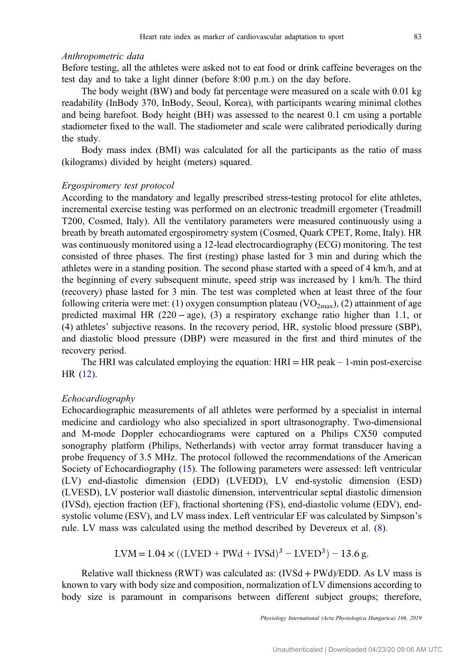### Anthropometric data

Before testing, all the athletes were asked not to eat food or drink caffeine beverages on the test day and to take a light dinner (before 8:00 p.m.) on the day before.

The body weight (BW) and body fat percentage were measured on a scale with 0.01 kg readability (InBody 370, InBody, Seoul, Korea), with participants wearing minimal clothes and being barefoot. Body height (BH) was assessed to the nearest 0.1 cm using a portable stadiometer fixed to the wall. The stadiometer and scale were calibrated periodically during the study.

Body mass index (BMI) was calculated for all the participants as the ratio of mass (kilograms) divided by height (meters) squared.

#### Ergospiromery test protocol

According to the mandatory and legally prescribed stress-testing protocol for elite athletes, incremental exercise testing was performed on an electronic treadmill ergometer (Treadmill T200, Cosmed, Italy). All the ventilatory parameters were measured continuously using a breath by breath automated ergospirometry system (Cosmed, Quark CPET, Rome, Italy). HR was continuously monitored using a 12-lead electrocardiography (ECG) monitoring. The test consisted of three phases. The first (resting) phase lasted for 3 min and during which the athletes were in a standing position. The second phase started with a speed of 4 km/h, and at the beginning of every subsequent minute, speed strip was increased by 1 km/h. The third (recovery) phase lasted for 3 min. The test was completed when at least three of the four following criteria were met: (1) oxygen consumption plateau (VO<sub>2max</sub>), (2) attainment of age predicted maximal HR (220 − age), (3) a respiratory exchange ratio higher than 1.1, or (4) athletes' subjective reasons. In the recovery period, HR, systolic blood pressure (SBP), and diastolic blood pressure (DBP) were measured in the first and third minutes of the recovery period.

The HRI was calculated employing the equation:  $HRI = HR$  peak  $-1$ -min post-exercise HR ([12\)](#page-13-0).

### Echocardiography

Echocardiographic measurements of all athletes were performed by a specialist in internal medicine and cardiology who also specialized in sport ultrasonography. Two-dimensional and M-mode Doppler echocardiograms were captured on a Philips CX50 computed sonography platform (Philips, Netherlands) with vector array format transducer having a probe frequency of 3.5 MHz. The protocol followed the recommendations of the American Society of Echocardiography ([15\)](#page-13-0). The following parameters were assessed: left ventricular (LV) end-diastolic dimension (EDD) (LVEDD), LV end-systolic dimension (ESD) (LVESD), LV posterior wall diastolic dimension, interventricular septal diastolic dimension (IVSd), ejection fraction (EF), fractional shortening (FS), end-diastolic volume (EDV), endsystolic volume (ESV), and LV mass index. Left ventricular EF was calculated by Simpson's rule. LV mass was calculated using the method described by Devereux et al. ([8\)](#page-13-0). astolic dimension (EDD) (LVEDD), LV end-systolic dimentally posterior wall diastolic dimension, interventricular septal diasto on fraction (EF), fractional shortening (FS), end-diastolic volume (ESV), and LV mass index. L

$$
LVM = 1.04 \times ((LVED + PWA + IVSd)^3 - LVED^3) - 13.6 g.
$$

Relative wall thickness (RWT) was calculated as:  $(IVSd + PWd)/EDD$ . As LV mass is known to vary with body size and composition, normalization of LV dimensions according to body size is paramount in comparisons between different subject groups; therefore,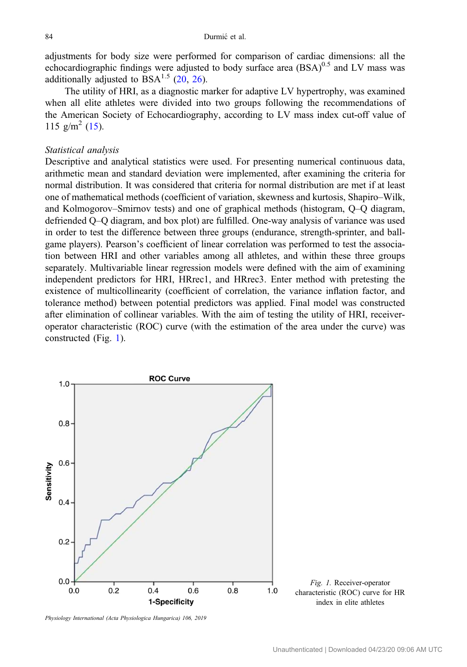<span id="page-3-0"></span>adjustments for body size were performed for comparison of cardiac dimensions: all the echocardiographic findings were adjusted to body surface area  $(BSA)^{0.5}$  and LV mass was additionally adjusted to  $BSA<sup>1.5</sup>$  [\(20](#page-13-0), [26](#page-13-0)).

The utility of HRI, as a diagnostic marker for adaptive LV hypertrophy, was examined when all elite athletes were divided into two groups following the recommendations of the American Society of Echocardiography, according to LV mass index cut-off value of 115  $g/m^2$  [\(15](#page-13-0)).

### Statistical analysis

Descriptive and analytical statistics were used. For presenting numerical continuous data, arithmetic mean and standard deviation were implemented, after examining the criteria for normal distribution. It was considered that criteria for normal distribution are met if at least one of mathematical methods (coefficient of variation, skewness and kurtosis, Shapiro–Wilk, and Kolmogorov–Smirnov tests) and one of graphical methods (histogram, Q–Q diagram, defriended Q–Q diagram, and box plot) are fulfilled. One-way analysis of variance was used in order to test the difference between three groups (endurance, strength-sprinter, and ballgame players). Pearson's coefficient of linear correlation was performed to test the association between HRI and other variables among all athletes, and within these three groups separately. Multivariable linear regression models were defined with the aim of examining independent predictors for HRI, HRrec1, and HRrec3. Enter method with pretesting the existence of multicollinearity (coefficient of correlation, the variance inflation factor, and tolerance method) between potential predictors was applied. Final model was constructed after elimination of collinear variables. With the aim of testing the utility of HRI, receiveroperator characteristic (ROC) curve (with the estimation of the area under the curve) was constructed (Fig. 1).



Physiology International (Acta Physiologica Hungarica) 106, 2019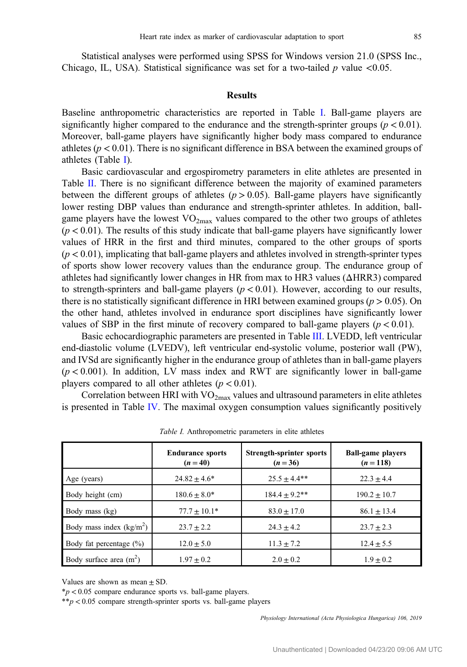Statistical analyses were performed using SPSS for Windows version 21.0 (SPSS Inc., Chicago, IL, USA). Statistical significance was set for a two-tailed  $p$  value <0.05.

### Results

Baseline anthropometric characteristics are reported in Table I. Ball-game players are significantly higher compared to the endurance and the strength-sprinter groups ( $p < 0.01$ ). Moreover, ball-game players have significantly higher body mass compared to endurance athletes ( $p < 0.01$ ). There is no significant difference in BSA between the examined groups of athletes (Table I).

Basic cardiovascular and ergospirometry parameters in elite athletes are presented in Table [II.](#page-5-0) There is no significant difference between the majority of examined parameters between the different groups of athletes ( $p > 0.05$ ). Ball-game players have significantly lower resting DBP values than endurance and strength-sprinter athletes. In addition, ballgame players have the lowest  $VO<sub>2max</sub>$  values compared to the other two groups of athletes  $(p < 0.01)$ . The results of this study indicate that ball-game players have significantly lower values of HRR in the first and third minutes, compared to the other groups of sports  $(p < 0.01)$ , implicating that ball-game players and athletes involved in strength-sprinter types of sports show lower recovery values than the endurance group. The endurance group of athletes had significantly lower changes in HR from max to HR3 values (ΔHRR3) compared to strength-sprinters and ball-game players  $(p < 0.01)$ . However, according to our results, there is no statistically significant difference in HRI between examined groups ( $p > 0.05$ ). On the other hand, athletes involved in endurance sport disciplines have significantly lower values of SBP in the first minute of recovery compared to ball-game players  $(p < 0.01)$ .

Basic echocardiographic parameters are presented in Table [III](#page-6-0). LVEDD, left ventricular end-diastolic volume (LVEDV), left ventricular end-systolic volume, posterior wall (PW), and IVSd are significantly higher in the endurance group of athletes than in ball-game players  $(p < 0.001)$ . In addition, LV mass index and RWT are significantly lower in ball-game players compared to all other athletes ( $p < 0.01$ ).

Correlation between HRI with  $VO<sub>2max</sub>$ </sub> values and ultrasound parameters in elite athletes is presented in Table [IV.](#page-7-0) The maximal oxygen consumption values significantly positively

|                             | <b>Endurance sports</b><br>$(n=40)$ | Strength-sprinter sports<br>$(n=36)$ | <b>Ball-game players</b><br>$(n=118)$ |
|-----------------------------|-------------------------------------|--------------------------------------|---------------------------------------|
| Age (years)                 | $24.82 \pm 4.6^*$                   | $25.5 + 4.4**$                       | $22.3 \pm 4.4$                        |
| Body height (cm)            | $180.6 \pm 8.0^*$                   | $184.4 + 9.2**$                      | $190.2 \pm 10.7$                      |
| Body mass (kg)              | $77.7 \pm 10.1*$                    | $83.0 \pm 17.0$                      | $86.1 \pm 13.4$                       |
| Body mass index $(kg/m2)$   | $23.7 \pm 2.2$                      | $24.3 \pm 4.2$                       | $23.7 \pm 2.3$                        |
| Body fat percentage $(\% )$ | $12.0 + 5.0$                        | $11.3 \pm 7.2$                       | $12.4 + 5.5$                          |
| Body surface area $(m2)$    | $1.97 + 0.2$                        | $2.0 + 0.2$                          | $1.9 + 0.2$                           |

Table I. Anthropometric parameters in elite athletes

Values are shown as mean  $\pm$  SD.

 $*p$  < 0.05 compare endurance sports vs. ball-game players.

 $*p$  < 0.05 compare strength-sprinter sports vs. ball-game players

Physiology International (Acta Physiologica Hungarica) 106, 2019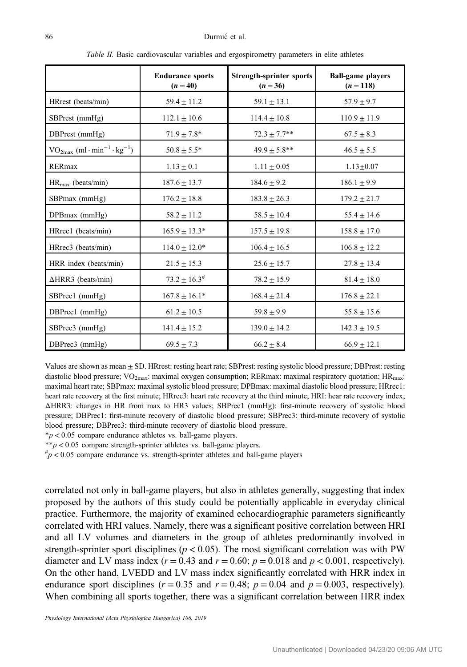<span id="page-5-0"></span>

|                                                       | <b>Endurance sports</b><br>$(n=40)$ | <b>Strength-sprinter sports</b><br>$(n=36)$ | <b>Ball-game players</b><br>$(n=118)$ |
|-------------------------------------------------------|-------------------------------------|---------------------------------------------|---------------------------------------|
| HRrest (beats/min)                                    | $59.4 \pm 11.2$                     | $59.1 \pm 13.1$                             | $57.9 \pm 9.7$                        |
| SBPrest (mmHg)                                        | $112.1 \pm 10.6$                    | $114.4 \pm 10.8$                            | $110.9 \pm 11.9$                      |
| DBPrest (mmHg)                                        | $71.9 \pm 7.8^*$                    | $72.3 \pm 7.7**$                            | $67.5 \pm 8.3$                        |
| $VO_{2max}$ (ml·min <sup>-1</sup> ·kg <sup>-1</sup> ) | $50.8 \pm 5.5^*$                    | $49.9 + 5.8$ **                             | $46.5 \pm 5.5$                        |
| <b>RERmax</b>                                         | $1.13 \pm 0.1$                      | $1.11 \pm 0.05$                             | $1.13 \pm 0.07$                       |
| $HR_{max}$ (beats/min)                                | $187.6 \pm 13.7$                    | $184.6 \pm 9.2$                             | $186.1 \pm 9.9$                       |
| SBPmax (mmHg)                                         | $176.2 \pm 18.8$                    | $183.8 \pm 26.3$                            | $179.2 \pm 21.7$                      |
| $DPBmax$ ( $mmHg$ )                                   | $58.2 \pm 11.2$                     | $58.5 \pm 10.4$                             | $55.4 \pm 14.6$                       |
| HRrec1 (beats/min)                                    | $165.9 \pm 13.3*$                   | $157.5 \pm 19.8$                            | $158.8 \pm 17.0$                      |
| HRrec3 (beats/min)                                    | $114.0 \pm 12.0*$                   | $106.4 \pm 16.5$                            | $106.8 \pm 12.2$                      |
| HRR index (beats/min)                                 | $21.5 \pm 15.3$                     | $25.6 \pm 15.7$                             | $27.8 \pm 13.4$                       |
| $\Delta$ HRR3 (beats/min)                             | $73.2 \pm 16.3^{\#}$                | $78.2 \pm 15.9$                             | $81.4 \pm 18.0$                       |
| SBPrec1 (mmHg)                                        | $167.8 \pm 16.1*$                   | $168.4 \pm 21.4$                            | $176.8 \pm 22.1$                      |
| DBPrec1 (mmHg)                                        | $61.2 \pm 10.5$                     | $59.8 \pm 9.9$                              | $55.8 \pm 15.6$                       |
| SBPrec3 (mmHg)                                        | $141.4 \pm 15.2$                    | $139.0 \pm 14.2$                            | $142.3 \pm 19.5$                      |
| $DBPrec3$ (mmHg)                                      | $69.5 \pm 7.3$                      | $66.2 \pm 8.4$                              | $66.9 + 12.1$                         |

Table II. Basic cardiovascular variables and ergospirometry parameters in elite athletes

Values are shown as mean  $\pm$  SD. HRrest: resting heart rate; SBPrest: resting systolic blood pressure; DBPrest: resting diastolic blood pressure; VO<sub>2max</sub>: maximal oxygen consumption; RERmax: maximal respiratory quotation; HR<sub>max</sub>: maximal heart rate; SBPmax: maximal systolic blood pressure; DPBmax: maximal diastolic blood pressure; HRrec1: heart rate recovery at the first minute; HRrec3: heart rate recovery at the third minute; HRI: hear rate recovery index; ΔHRR3: changes in HR from max to HR3 values; SBPrec1 (mmHg): first-minute recovery of systolic blood pressure; DBPrec1: first-minute recovery of diastolic blood pressure; SBPrec3: third-minute recovery of systolic blood pressure; DBPrec3: third-minute recovery of diastolic blood pressure.

 $*p < 0.05$  compare endurance athletes vs. ball-game players.

 $*p < 0.05$  compare strength-sprinter athletes vs. ball-game players.

 $^{#}p$  < 0.05 compare endurance vs. strength-sprinter athletes and ball-game players

correlated not only in ball-game players, but also in athletes generally, suggesting that index proposed by the authors of this study could be potentially applicable in everyday clinical practice. Furthermore, the majority of examined echocardiographic parameters significantly correlated with HRI values. Namely, there was a significant positive correlation between HRI and all LV volumes and diameters in the group of athletes predominantly involved in strength-sprinter sport disciplines ( $p < 0.05$ ). The most significant correlation was with PW diameter and LV mass index  $(r = 0.43$  and  $r = 0.60$ ;  $p = 0.018$  and  $p < 0.001$ , respectively). On the other hand, LVEDD and LV mass index significantly correlated with HRR index in endurance sport disciplines ( $r = 0.35$  and  $r = 0.48$ ;  $p = 0.04$  and  $p = 0.003$ , respectively). When combining all sports together, there was a significant correlation between HRR index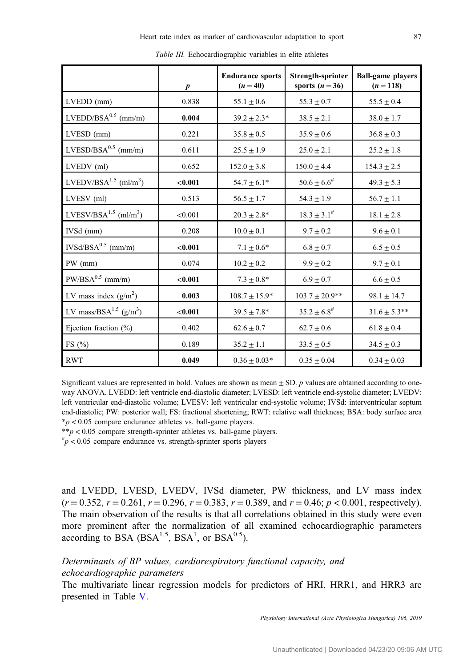<span id="page-6-0"></span>

|                                               | $\boldsymbol{p}$ | <b>Endurance sports</b><br>$(n=40)$ | Strength-sprinter<br>sports $(n=36)$ | <b>Ball-game players</b><br>$(n = 118)$ |
|-----------------------------------------------|------------------|-------------------------------------|--------------------------------------|-----------------------------------------|
| $LVEDD$ (mm)                                  | 0.838            | $55.1 \pm 0.6$                      | $55.3 \pm 0.7$                       | $55.5 \pm 0.4$                          |
| $LVEDD/BSA0.5$ (mm/m)                         | 0.004            | $39.2 \pm 2.3*$                     | $38.5 \pm 2.1$                       | $38.0 \pm 1.7$                          |
| LVESD (mm)                                    | 0.221            | $35.8 \pm 0.5$                      | $35.9 \pm 0.6$                       | $36.8 \pm 0.3$                          |
| $LVESD/BSA0.5$ (mm/m)                         | 0.611            | $25.5 \pm 1.9$                      | $25.0 \pm 2.1$                       | $25.2 \pm 1.8$                          |
| LVEDV (ml)                                    | 0.652            | $152.0 \pm 3.8$                     | $150.0 \pm 4.4$                      | $154.3 \pm 2.5$                         |
| $LVEDV/BSA^{1.5}$ (ml/m <sup>3</sup> )        | < 0.001          | $54.7 \pm 6.1*$                     | $50.6 \pm 6.6^{\#}$                  | $49.3 \pm 5.3$                          |
| LVESV (ml)                                    | 0.513            | $56.5 \pm 1.7$                      | $54.3 \pm 1.9$                       | $56.7 \pm 1.1$                          |
| LVESV/BSA <sup>1.5</sup> (ml/m <sup>3</sup> ) | < 0.001          | $20.3 \pm 2.8^*$                    | $18.3 \pm 3.1^{\#}$                  | $18.1 \pm 2.8$                          |
| IVSd (mm)                                     | 0.208            | $10.0 \pm 0.1$                      | $9.7 \pm 0.2$                        | $9.6 \pm 0.1$                           |
| $IVSd/BSA0.5$ (mm/m)                          | < 0.001          | $7.1 \pm 0.6*$                      | $6.8 \pm 0.7$                        | $6.5 \pm 0.5$                           |
| $PW$ (mm)                                     | 0.074            | $10.2 \pm 0.2$                      | $9.9 \pm 0.2$                        | $9.7 \pm 0.1$                           |
| $PW/BSA^{0.5}$ (mm/m)                         | < 0.001          | $7.3 \pm 0.8^*$                     | $6.9 \pm 0.7$                        | $6.6 \pm 0.5$                           |
| LV mass index $(g/m^2)$                       | 0.003            | $108.7 \pm 15.9*$                   | $103.7 \pm 20.9$ **                  | $98.1 \pm 14.7$                         |
| LV mass/BSA <sup>1.5</sup> ( $g/m3$ )         | < 0.001          | $39.5 \pm 7.8*$                     | $35.2 \pm 6.8^{\#}$                  | $31.6 \pm 5.3**$                        |
| Ejection fraction $(\%)$                      | 0.402            | $62.6 \pm 0.7$                      | $62.7 \pm 0.6$                       | $61.8 \pm 0.4$                          |
| FS $(%)$                                      | 0.189            | $35.2 \pm 1.1$                      | $33.5 \pm 0.5$                       | $34.5 \pm 0.3$                          |
| <b>RWT</b>                                    | 0.049            | $0.36 \pm 0.03*$                    | $0.35 \pm 0.04$                      | $0.34 \pm 0.03$                         |

Table III. Echocardiographic variables in elite athletes

Significant values are represented in bold. Values are shown as mean  $\pm$  SD. p values are obtained according to oneway ANOVA. LVEDD: left ventricle end-diastolic diameter; LVESD: left ventricle end-systolic diameter; LVEDV: left ventricular end-diastolic volume; LVESV: left ventricular end-systolic volume; IVSd: interventricular septum end-diastolic; PW: posterior wall; FS: fractional shortening; RWT: relative wall thickness; BSA: body surface area  $*p < 0.05$  compare endurance athletes vs. ball-game players.

 $*p$  < 0.05 compare strength-sprinter athletes vs. ball-game players.

 $\mu p < 0.05$  compare endurance vs. strength-sprinter sports players

and LVEDD, LVESD, LVEDV, IVSd diameter, PW thickness, and LV mass index  $(r = 0.352, r = 0.261, r = 0.296, r = 0.383, r = 0.389,$  and  $r = 0.46; p < 0.001$ , respectively). The main observation of the results is that all correlations obtained in this study were even more prominent after the normalization of all examined echocardiographic parameters according to BSA  $(BSA^{1.5}, BSA^{1},$  or  $BSA^{0.5})$ .

## Determinants of BP values, cardiorespiratory functional capacity, and echocardiographic parameters

The multivariate linear regression models for predictors of HRI, HRR1, and HRR3 are presented in Table [V.](#page-8-0)

Physiology International (Acta Physiologica Hungarica) 106, 2019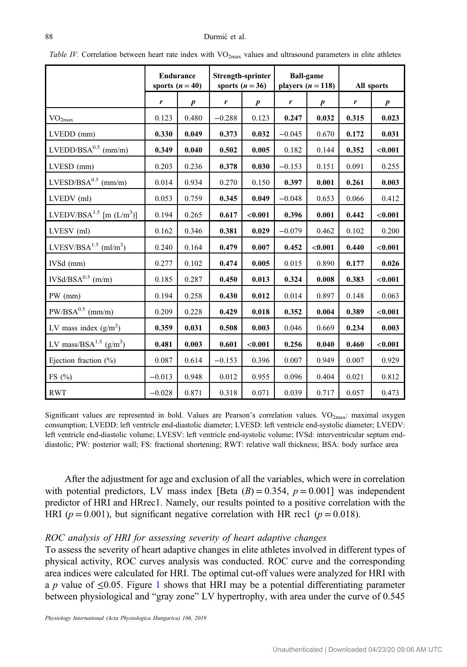|                                             | Endurance<br>sports $(n = 40)$ |                  | Strength-sprinter<br>sports $(n=36)$ |                  | <b>Ball-game</b><br>players $(n = 118)$ |                  | All sports |                  |
|---------------------------------------------|--------------------------------|------------------|--------------------------------------|------------------|-----------------------------------------|------------------|------------|------------------|
|                                             | r                              | $\boldsymbol{p}$ | r                                    | $\boldsymbol{p}$ | r                                       | $\boldsymbol{p}$ | r          | $\boldsymbol{p}$ |
| $\rm VO_{2max}$                             | 0.123                          | 0.480            | $-0.288$                             | 0.123            | 0.247                                   | 0.032            | 0.315      | 0.023            |
| $LVEDD$ (mm)                                | 0.330                          | 0.049            | 0.373                                | 0.032            | $-0.045$                                | 0.670            | 0.172      | 0.031            |
| $LVEDD/BSA0.5$ (mm/m)                       | 0.349                          | 0.040            | 0.502                                | 0.005            | 0.182                                   | 0.144            | 0.352      | < 0.001          |
| LVESD (mm)                                  | 0.203                          | 0.236            | 0.378                                | 0.030            | $-0.153$                                | 0.151            | 0.091      | 0.255            |
| $\textup{LVESD/BSA}^{0.5}\ (\textup{mm/m})$ | 0.014                          | 0.934            | 0.270                                | 0.150            | 0.397                                   | 0.001            | 0.261      | 0.003            |
| LVEDV (ml)                                  | 0.053                          | 0.759            | 0.345                                | 0.049            | $-0.048$                                | 0.653            | 0.066      | 0.412            |
| LVEDV/BSA <sup>1.5</sup> [m $(L/m^3)$ ]     | 0.194                          | 0.265            | 0.617                                | < 0.001          | 0.396                                   | 0.001            | 0.442      | < 0.001          |
| LVESV (ml)                                  | 0.162                          | 0.346            | 0.381                                | 0.029            | $-0.079$                                | 0.462            | 0.102      | 0.200            |
| $LVESV/BSA^{1.5}$ (ml/m <sup>3</sup> )      | 0.240                          | 0.164            | 0.479                                | 0.007            | 0.452                                   | < 0.001          | 0.440      | < 0.001          |
| IVSd (mm)                                   | 0.277                          | 0.102            | 0.474                                | 0.005            | 0.015                                   | 0.890            | 0.177      | 0.026            |
| IVSd/BSA $^{0.5}$ (m/m)                     | 0.185                          | 0.287            | 0.450                                | 0.013            | 0.324                                   | 0.008            | 0.383      | < 0.001          |
| $PW$ (mm)                                   | 0.194                          | 0.258            | 0.430                                | 0.012            | 0.014                                   | 0.897            | 0.148      | 0.063            |
| $PW/BSA^{0.5}$ (mm/m)                       | 0.209                          | 0.228            | 0.429                                | 0.018            | 0.352                                   | 0.004            | 0.389      | < 0.001          |
| LV mass index $(g/m^2)$                     | 0.359                          | 0.031            | 0.508                                | 0.003            | 0.046                                   | 0.669            | 0.234      | 0.003            |
| LV mass/BSA $^{1.5}$ (g/m <sup>3</sup> )    | 0.481                          | 0.003            | 0.601                                | < 0.001          | 0.256                                   | 0.040            | 0.460      | < 0.001          |
| Ejection fraction $(\% )$                   | 0.087                          | 0.614            | $-0.153$                             | 0.396            | 0.007                                   | 0.949            | 0.007      | 0.929            |
| FS $(\%)$                                   | $-0.013$                       | 0.948            | 0.012                                | 0.955            | 0.096                                   | 0.404            | 0.021      | 0.812            |
| <b>RWT</b>                                  | $-0.028$                       | 0.871            | 0.318                                | 0.071            | 0.039                                   | 0.717            | 0.057      | 0.473            |

<span id="page-7-0"></span>Table IV. Correlation between heart rate index with  $VO_{2max}$  values and ultrasound parameters in elite athletes

Significant values are represented in bold. Values are Pearson's correlation values.  $VO<sub>2max</sub>$ : maximal oxygen consumption; LVEDD: left ventricle end-diastolic diameter; LVESD: left ventricle end-systolic diameter; LVEDV: left ventricle end-diastolic volume; LVESV: left ventricle end-systolic volume; IVSd: interventricular septum enddiastolic; PW: posterior wall; FS: fractional shortening; RWT: relative wall thickness; BSA: body surface area

After the adjustment for age and exclusion of all the variables, which were in correlation with potential predictors, LV mass index [Beta  $(B) = 0.354$ ,  $p = 0.001$ ] was independent predictor of HRI and HRrec1. Namely, our results pointed to a positive correlation with the HRI ( $p = 0.001$ ), but significant negative correlation with HR rec1 ( $p = 0.018$ ).

### ROC analysis of HRI for assessing severity of heart adaptive changes

To assess the severity of heart adaptive changes in elite athletes involved in different types of physical activity, ROC curves analysis was conducted. ROC curve and the corresponding area indices were calculated for HRI. The optimal cut-off values were analyzed for HRI with a p value of  $\leq 0.05$ . Figure [1](#page-3-0) shows that HRI may be a potential differentiating parameter between physiological and "gray zone" LV hypertrophy, with area under the curve of 0.545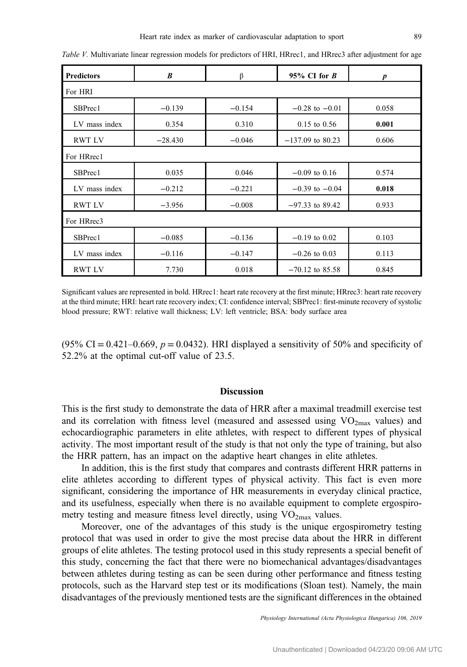| <b>Predictors</b> | B         | β        | $95\%$ CI for B    | $\boldsymbol{p}$ |  |  |  |
|-------------------|-----------|----------|--------------------|------------------|--|--|--|
| For HRI           |           |          |                    |                  |  |  |  |
| SBPrec1           | $-0.139$  | $-0.154$ | $-0.28$ to $-0.01$ | 0.058            |  |  |  |
| LV mass index     | 0.354     | 0.310    | $0.15$ to $0.56$   | 0.001            |  |  |  |
| <b>RWT LV</b>     | $-28.430$ | $-0.046$ | $-137.09$ to 80.23 | 0.606            |  |  |  |
| For HRrec1        |           |          |                    |                  |  |  |  |
| SBPrec1           | 0.035     | 0.046    | $-0.09$ to 0.16    | 0.574            |  |  |  |
| LV mass index     | $-0.212$  | $-0.221$ | $-0.39$ to $-0.04$ | 0.018            |  |  |  |
| <b>RWT LV</b>     | $-3.956$  | $-0.008$ | $-97.33$ to 89.42  | 0.933            |  |  |  |
| For HRrec3        |           |          |                    |                  |  |  |  |
| SBPrec1           | $-0.085$  | $-0.136$ | $-0.19$ to $0.02$  | 0.103            |  |  |  |
| LV mass index     | $-0.116$  | $-0.147$ | $-0.26$ to 0.03    | 0.113            |  |  |  |
| <b>RWT LV</b>     | 7.730     | 0.018    | $-70.12$ to 85.58  | 0.845            |  |  |  |

<span id="page-8-0"></span>Table V. Multivariate linear regression models for predictors of HRI, HRrec1, and HRrec3 after adjustment for age

Significant values are represented in bold. HRrec1: heart rate recovery at the first minute; HRrec3: heart rate recovery at the third minute; HRI: heart rate recovery index; CI: confidence interval; SBPrec1: first-minute recovery of systolic blood pressure; RWT: relative wall thickness; LV: left ventricle; BSA: body surface area

(95% CI = 0.421–0.669,  $p = 0.0432$ ). HRI displayed a sensitivity of 50% and specificity of 52.2% at the optimal cut-off value of 23.5.

#### **Discussion**

This is the first study to demonstrate the data of HRR after a maximal treadmill exercise test and its correlation with fitness level (measured and assessed using  $VO_{2max}$  values) and echocardiographic parameters in elite athletes, with respect to different types of physical activity. The most important result of the study is that not only the type of training, but also the HRR pattern, has an impact on the adaptive heart changes in elite athletes.

In addition, this is the first study that compares and contrasts different HRR patterns in elite athletes according to different types of physical activity. This fact is even more significant, considering the importance of HR measurements in everyday clinical practice, and its usefulness, especially when there is no available equipment to complete ergospirometry testing and measure fitness level directly, using  $VO<sub>2max</sub>$  values.

Moreover, one of the advantages of this study is the unique ergospirometry testing protocol that was used in order to give the most precise data about the HRR in different groups of elite athletes. The testing protocol used in this study represents a special benefit of this study, concerning the fact that there were no biomechanical advantages/disadvantages between athletes during testing as can be seen during other performance and fitness testing protocols, such as the Harvard step test or its modifications (Sloan test). Namely, the main disadvantages of the previously mentioned tests are the significant differences in the obtained

Physiology International (Acta Physiologica Hungarica) 106, 2019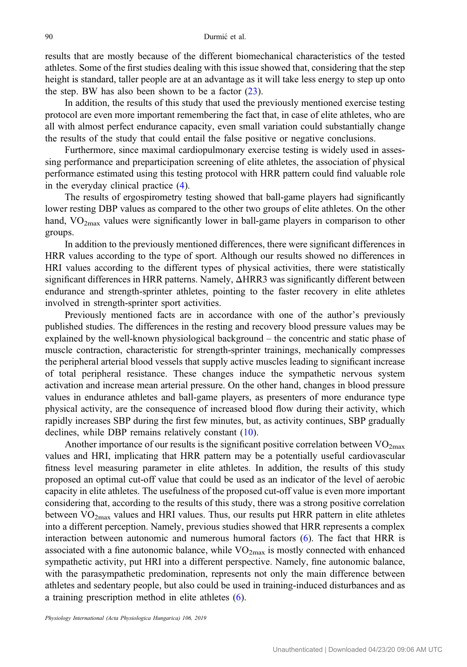results that are mostly because of the different biomechanical characteristics of the tested athletes. Some of the first studies dealing with this issue showed that, considering that the step height is standard, taller people are at an advantage as it will take less energy to step up onto the step. BW has also been shown to be a factor  $(23)$  $(23)$ .

In addition, the results of this study that used the previously mentioned exercise testing protocol are even more important remembering the fact that, in case of elite athletes, who are all with almost perfect endurance capacity, even small variation could substantially change the results of the study that could entail the false positive or negative conclusions.

Furthermore, since maximal cardiopulmonary exercise testing is widely used in assessing performance and preparticipation screening of elite athletes, the association of physical performance estimated using this testing protocol with HRR pattern could find valuable role in the everyday clinical practice [\(4](#page-13-0)).

The results of ergospirometry testing showed that ball-game players had significantly lower resting DBP values as compared to the other two groups of elite athletes. On the other hand,  $VO_{2max}$  values were significantly lower in ball-game players in comparison to other groups.

In addition to the previously mentioned differences, there were significant differences in HRR values according to the type of sport. Although our results showed no differences in HRI values according to the different types of physical activities, there were statistically significant differences in HRR patterns. Namely, ΔHRR3 was significantly different between endurance and strength-sprinter athletes, pointing to the faster recovery in elite athletes involved in strength-sprinter sport activities.

Previously mentioned facts are in accordance with one of the author's previously published studies. The differences in the resting and recovery blood pressure values may be explained by the well-known physiological background – the concentric and static phase of muscle contraction, characteristic for strength-sprinter trainings, mechanically compresses the peripheral arterial blood vessels that supply active muscles leading to significant increase of total peripheral resistance. These changes induce the sympathetic nervous system activation and increase mean arterial pressure. On the other hand, changes in blood pressure values in endurance athletes and ball-game players, as presenters of more endurance type physical activity, are the consequence of increased blood flow during their activity, which rapidly increases SBP during the first few minutes, but, as activity continues, SBP gradually declines, while DBP remains relatively constant [\(10](#page-13-0)).

Another importance of our results is the significant positive correlation between  $\rm{VO}_{2max}$ values and HRI, implicating that HRR pattern may be a potentially useful cardiovascular fitness level measuring parameter in elite athletes. In addition, the results of this study proposed an optimal cut-off value that could be used as an indicator of the level of aerobic capacity in elite athletes. The usefulness of the proposed cut-off value is even more important considering that, according to the results of this study, there was a strong positive correlation between  $\rm{VO_{2max}}$  values and HRI values. Thus, our results put HRR pattern in elite athletes into a different perception. Namely, previous studies showed that HRR represents a complex interaction between autonomic and numerous humoral factors [\(6](#page-13-0)). The fact that HRR is associated with a fine autonomic balance, while  $VO_{2max}$  is mostly connected with enhanced sympathetic activity, put HRI into a different perspective. Namely, fine autonomic balance, with the parasympathetic predomination, represents not only the main difference between athletes and sedentary people, but also could be used in training-induced disturbances and as a training prescription method in elite athletes ([6\)](#page-13-0).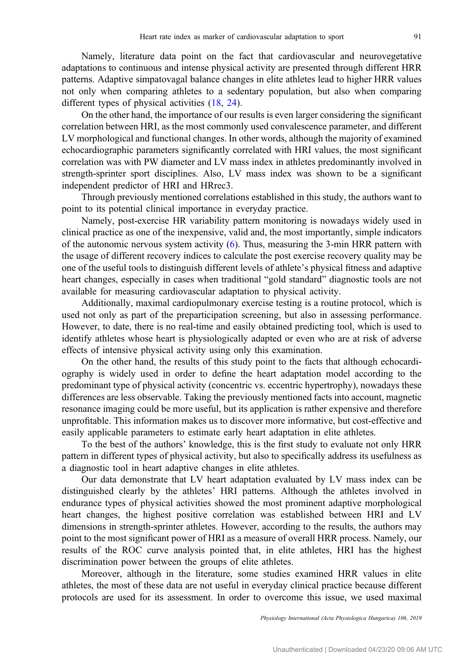Namely, literature data point on the fact that cardiovascular and neurovegetative adaptations to continuous and intense physical activity are presented through different HRR patterns. Adaptive simpatovagal balance changes in elite athletes lead to higher HRR values not only when comparing athletes to a sedentary population, but also when comparing different types of physical activities [\(18](#page-13-0), [24](#page-13-0)).

On the other hand, the importance of our results is even larger considering the significant correlation between HRI, as the most commonly used convalescence parameter, and different LV morphological and functional changes. In other words, although the majority of examined echocardiographic parameters significantly correlated with HRI values, the most significant correlation was with PW diameter and LV mass index in athletes predominantly involved in strength-sprinter sport disciplines. Also, LV mass index was shown to be a significant independent predictor of HRI and HRrec3.

Through previously mentioned correlations established in this study, the authors want to point to its potential clinical importance in everyday practice.

Namely, post-exercise HR variability pattern monitoring is nowadays widely used in clinical practice as one of the inexpensive, valid and, the most importantly, simple indicators of the autonomic nervous system activity [\(6](#page-13-0)). Thus, measuring the 3-min HRR pattern with the usage of different recovery indices to calculate the post exercise recovery quality may be one of the useful tools to distinguish different levels of athlete's physical fitness and adaptive heart changes, especially in cases when traditional "gold standard" diagnostic tools are not available for measuring cardiovascular adaptation to physical activity.

Additionally, maximal cardiopulmonary exercise testing is a routine protocol, which is used not only as part of the preparticipation screening, but also in assessing performance. However, to date, there is no real-time and easily obtained predicting tool, which is used to identify athletes whose heart is physiologically adapted or even who are at risk of adverse effects of intensive physical activity using only this examination.

On the other hand, the results of this study point to the facts that although echocardiography is widely used in order to define the heart adaptation model according to the predominant type of physical activity (concentric vs. eccentric hypertrophy), nowadays these differences are less observable. Taking the previously mentioned facts into account, magnetic resonance imaging could be more useful, but its application is rather expensive and therefore unprofitable. This information makes us to discover more informative, but cost-effective and easily applicable parameters to estimate early heart adaptation in elite athletes.

To the best of the authors' knowledge, this is the first study to evaluate not only HRR pattern in different types of physical activity, but also to specifically address its usefulness as a diagnostic tool in heart adaptive changes in elite athletes.

Our data demonstrate that LV heart adaptation evaluated by LV mass index can be distinguished clearly by the athletes' HRI patterns. Although the athletes involved in endurance types of physical activities showed the most prominent adaptive morphological heart changes, the highest positive correlation was established between HRI and LV dimensions in strength-sprinter athletes. However, according to the results, the authors may point to the most significant power of HRI as a measure of overall HRR process. Namely, our results of the ROC curve analysis pointed that, in elite athletes, HRI has the highest discrimination power between the groups of elite athletes.

Moreover, although in the literature, some studies examined HRR values in elite athletes, the most of these data are not useful in everyday clinical practice because different protocols are used for its assessment. In order to overcome this issue, we used maximal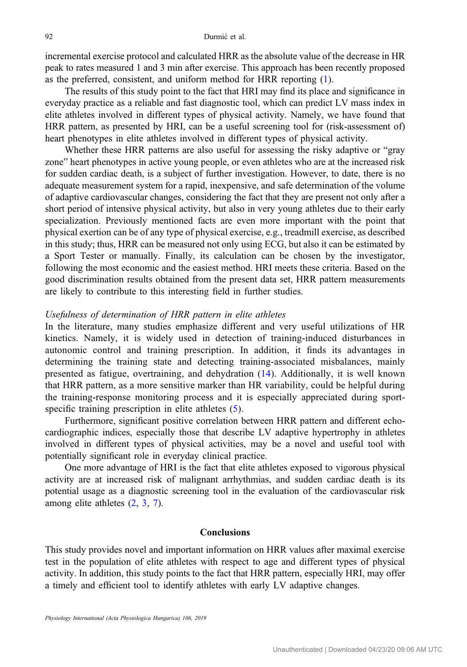incremental exercise protocol and calculated HRR as the absolute value of the decrease in HR peak to rates measured 1 and 3 min after exercise. This approach has been recently proposed as the preferred, consistent, and uniform method for HRR reporting ([1\)](#page-12-0).

The results of this study point to the fact that HRI may find its place and significance in everyday practice as a reliable and fast diagnostic tool, which can predict LV mass index in elite athletes involved in different types of physical activity. Namely, we have found that HRR pattern, as presented by HRI, can be a useful screening tool for (risk-assessment of) heart phenotypes in elite athletes involved in different types of physical activity.

Whether these HRR patterns are also useful for assessing the risky adaptive or "gray zone" heart phenotypes in active young people, or even athletes who are at the increased risk for sudden cardiac death, is a subject of further investigation. However, to date, there is no adequate measurement system for a rapid, inexpensive, and safe determination of the volume of adaptive cardiovascular changes, considering the fact that they are present not only after a short period of intensive physical activity, but also in very young athletes due to their early specialization. Previously mentioned facts are even more important with the point that physical exertion can be of any type of physical exercise, e.g., treadmill exercise, as described in this study; thus, HRR can be measured not only using ECG, but also it can be estimated by a Sport Tester or manually. Finally, its calculation can be chosen by the investigator, following the most economic and the easiest method. HRI meets these criteria. Based on the good discrimination results obtained from the present data set, HRR pattern measurements are likely to contribute to this interesting field in further studies.

### Usefulness of determination of HRR pattern in elite athletes

In the literature, many studies emphasize different and very useful utilizations of HR kinetics. Namely, it is widely used in detection of training-induced disturbances in autonomic control and training prescription. In addition, it finds its advantages in determining the training state and detecting training-associated misbalances, mainly presented as fatigue, overtraining, and dehydration ([14](#page-13-0)). Additionally, it is well known that HRR pattern, as a more sensitive marker than HR variability, could be helpful during the training-response monitoring process and it is especially appreciated during sport-specific training prescription in elite athletes [\(5\)](#page-13-0).

Furthermore, significant positive correlation between HRR pattern and different echocardiographic indices, especially those that describe LV adaptive hypertrophy in athletes involved in different types of physical activities, may be a novel and useful tool with potentially significant role in everyday clinical practice.

One more advantage of HRI is the fact that elite athletes exposed to vigorous physical activity are at increased risk of malignant arrhythmias, and sudden cardiac death is its potential usage as a diagnostic screening tool in the evaluation of the cardiovascular risk among elite athletes ([2,](#page-12-0) [3,](#page-13-0) [7\)](#page-13-0).

### Conclusions

This study provides novel and important information on HRR values after maximal exercise test in the population of elite athletes with respect to age and different types of physical activity. In addition, this study points to the fact that HRR pattern, especially HRI, may offer a timely and efficient tool to identify athletes with early LV adaptive changes.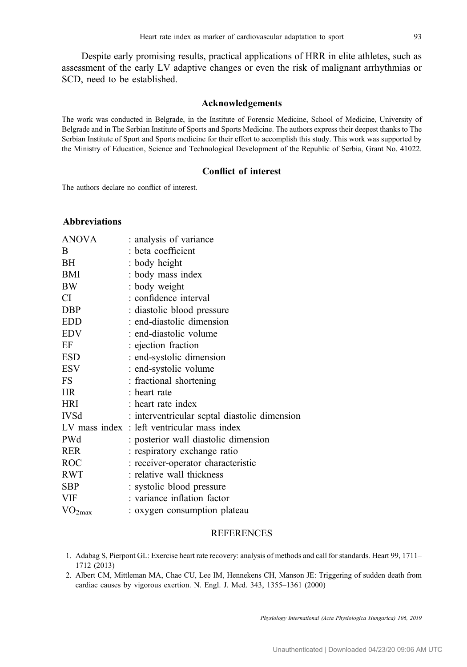<span id="page-12-0"></span>Despite early promising results, practical applications of HRR in elite athletes, such as assessment of the early LV adaptive changes or even the risk of malignant arrhythmias or SCD, need to be established.

### Acknowledgements

The work was conducted in Belgrade, in the Institute of Forensic Medicine, School of Medicine, University of Belgrade and in The Serbian Institute of Sports and Sports Medicine. The authors express their deepest thanks to The Serbian Institute of Sport and Sports medicine for their effort to accomplish this study. This work was supported by the Ministry of Education, Science and Technological Development of the Republic of Serbia, Grant No. 41022.

### Conflict of interest

The authors declare no conflict of interest.

### Abbreviations

| <b>ANOVA</b>       | : analysis of variance                        |
|--------------------|-----------------------------------------------|
| B                  | : beta coefficient                            |
| <b>BH</b>          | : body height                                 |
| BMI                | : body mass index                             |
| BW                 | : body weight                                 |
| СI                 | : confidence interval                         |
| <b>DBP</b>         | : diastolic blood pressure                    |
| EDD                | : end-diastolic dimension                     |
| EDV                | : end-diastolic volume                        |
| ΕF                 | : ejection fraction                           |
| <b>ESD</b>         | : end-systolic dimension                      |
| <b>ESV</b>         | : end-systolic volume                         |
| FS                 | : fractional shortening                       |
| <b>HR</b>          | : heart rate                                  |
| <b>HRI</b>         | : heart rate index                            |
| <b>IVSd</b>        | : interventricular septal diastolic dimension |
|                    | LV mass index: left ventricular mass index    |
| PWd                | : posterior wall diastolic dimension          |
| <b>RER</b>         | : respiratory exchange ratio                  |
| ROC                | : receiver-operator characteristic            |
| <b>RWT</b>         | : relative wall thickness                     |
| <b>SBP</b>         | : systolic blood pressure                     |
| VIF                | : variance inflation factor                   |
| VO <sub>2max</sub> | : oxygen consumption plateau                  |

### **REFERENCES**

- 1. Adabag S, Pierpont GL: Exercise heart rate recovery: analysis of methods and call for standards. Heart 99, 1711– 1712 (2013)
- 2. Albert CM, Mittleman MA, Chae CU, Lee IM, Hennekens CH, Manson JE: Triggering of sudden death from cardiac causes by vigorous exertion. N. Engl. J. Med. 343, 1355–1361 (2000)